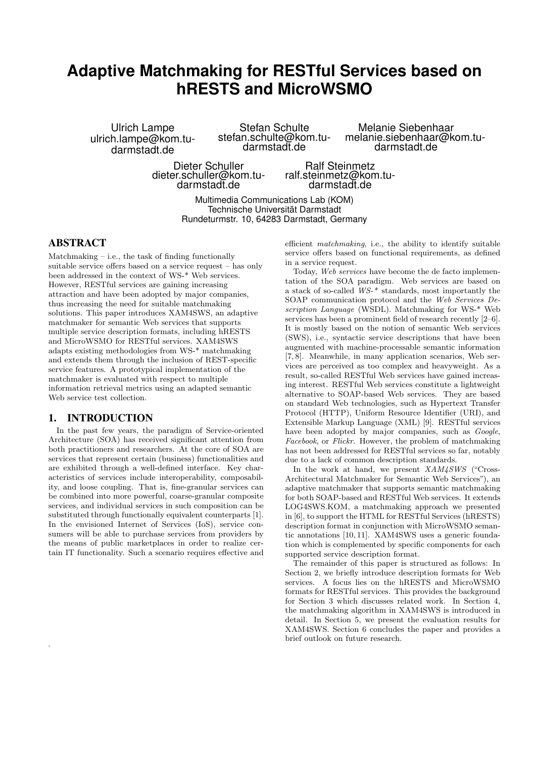# **Adaptive Matchmaking for RESTful Services based on hRESTS and MicroWSMO**

Ulrich Lampe ulrich.lampe@kom.tudarmstadt.de

Stefan Schulte stefan.schulte@kom.tudarmstadt.de

Melanie Siebenhaar melanie.siebenhaar@kom.tudarmstadt.de

Dieter Schuller dieter.schuller@kom.tudarmstadt.de

Ralf Steinmetz ralf.steinmetz@kom.tudarmstadt.de

Multimedia Communications Lab (KOM) Technische Universität Darmstadt Rundeturmstr. 10, 64283 Darmstadt, Germany

# ABSTRACT

Matchmaking – i.e., the task of finding functionally suitable service offers based on a service request – has only been addressed in the context of WS-\* Web services. However, RESTful services are gaining increasing attraction and have been adopted by major companies, thus increasing the need for suitable matchmaking solutions. This paper introduces XAM4SWS, an adaptive matchmaker for semantic Web services that supports multiple service description formats, including hRESTS and MicroWSMO for RESTful services. XAM4SWS adapts existing methodologies from WS-\* matchmaking and extends them through the inclusion of REST-specific service features. A prototypical implementation of the matchmaker is evaluated with respect to multiple information retrieval metrics using an adapted semantic Web service test collection.

## 1. INTRODUCTION

.

In the past few years, the paradigm of Service-oriented Architecture (SOA) has received significant attention from both practitioners and researchers. At the core of SOA are services that represent certain (business) functionalities and are exhibited through a well-defined interface. Key characteristics of services include interoperability, composability, and loose coupling. That is, fine-granular services can be combined into more powerful, coarse-granular composite services, and individual services in such composition can be substituted through functionally equivalent counterparts [1]. In the envisioned Internet of Services (IoS), service consumers will be able to purchase services from providers by the means of public marketplaces in order to realize certain IT functionality. Such a scenario requires effective and

efficient matchmaking, i.e., the ability to identify suitable service offers based on functional requirements, as defined in a service request.

Today, Web services have become the de facto implementation of the SOA paradigm. Web services are based on a stack of so-called WS-\* standards, most importantly the SOAP communication protocol and the Web Services Description Language (WSDL). Matchmaking for WS-\* Web services has been a prominent field of research recently [2–6]. It is mostly based on the notion of semantic Web services (SWS), i.e., syntactic service descriptions that have been augmented with machine-processable semantic information [7, 8]. Meanwhile, in many application scenarios, Web services are perceived as too complex and heavyweight. As a result, so-called RESTful Web services have gained increasing interest. RESTful Web services constitute a lightweight alternative to SOAP-based Web services. They are based on standard Web technologies, such as Hypertext Transfer Protocol (HTTP), Uniform Resource Identifier (URI), and Extensible Markup Language (XML) [9]. RESTful services have been adopted by major companies, such as *Google*, Facebook, or Flickr. However, the problem of matchmaking has not been addressed for RESTful services so far, notably due to a lack of common description standards.

In the work at hand, we present XAM4SWS ("Cross-Architectural Matchmaker for Semantic Web Services"), an adaptive matchmaker that supports semantic matchmaking for both SOAP-based and RESTful Web services. It extends LOG4SWS.KOM, a matchmaking approach we presented in [6], to support the HTML for RESTful Services (hRESTS) description format in conjunction with MicroWSMO semantic annotations [10, 11]. XAM4SWS uses a generic foundation which is complemented by specific components for each supported service description format.

The remainder of this paper is structured as follows: In Section 2, we briefly introduce description formats for Web services. A focus lies on the hRESTS and MicroWSMO formats for RESTful services. This provides the background for Section 3 which discusses related work. In Section 4, the matchmaking algorithm in XAM4SWS is introduced in detail. In Section 5, we present the evaluation results for XAM4SWS. Section 6 concludes the paper and provides a brief outlook on future research.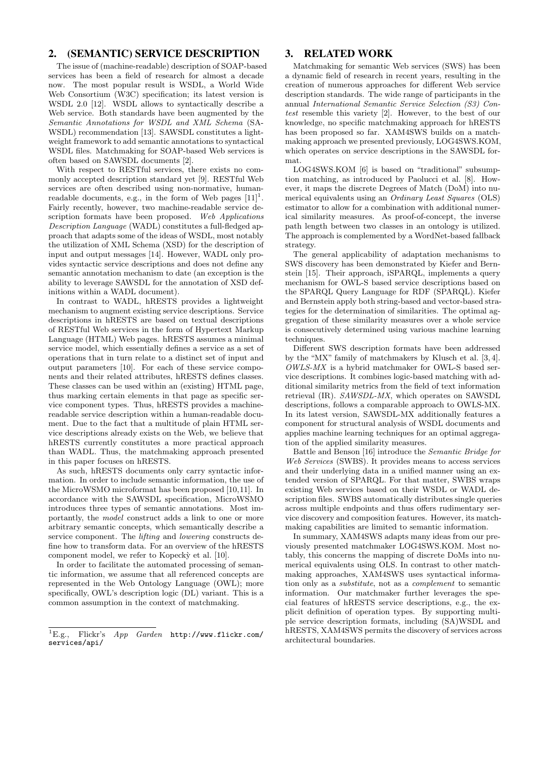## 2. (SEMANTIC) SERVICE DESCRIPTION

The issue of (machine-readable) description of SOAP-based services has been a field of research for almost a decade now. The most popular result is WSDL, a World Wide Web Consortium (W3C) specification; its latest version is WSDL 2.0 [12]. WSDL allows to syntactically describe a Web service. Both standards have been augmented by the Semantic Annotations for WSDL and XML Schema (SA-WSDL) recommendation [13]. SAWSDL constitutes a lightweight framework to add semantic annotations to syntactical WSDL files. Matchmaking for SOAP-based Web services is often based on SAWSDL documents [2].

With respect to RESTful services, there exists no commonly accepted description standard yet [9]. RESTful Web services are often described using non-normative, humanreadable documents, e.g., in the form of Web pages  $[11]$ <sup>1</sup>. Fairly recently, however, two machine-readable service description formats have been proposed. Web Applications Description Language (WADL) constitutes a full-fledged approach that adapts some of the ideas of WSDL, most notably the utilization of XML Schema (XSD) for the description of input and output messages [14]. However, WADL only provides syntactic service descriptions and does not define any semantic annotation mechanism to date (an exception is the ability to leverage SAWSDL for the annotation of XSD definitions within a WADL document).

In contrast to WADL, hRESTS provides a lightweight mechanism to augment existing service descriptions. Service descriptions in hRESTS are based on textual descriptions of RESTful Web services in the form of Hypertext Markup Language (HTML) Web pages. hRESTS assumes a minimal service model, which essentially defines a service as a set of operations that in turn relate to a distinct set of input and output parameters [10]. For each of these service components and their related attributes, hRESTS defines classes. These classes can be used within an (existing) HTML page, thus marking certain elements in that page as specific service component types. Thus, hRESTS provides a machinereadable service description within a human-readable document. Due to the fact that a multitude of plain HTML service descriptions already exists on the Web, we believe that hRESTS currently constitutes a more practical approach than WADL. Thus, the matchmaking approach presented in this paper focuses on hRESTS.

As such, hRESTS documents only carry syntactic information. In order to include semantic information, the use of the MicroWSMO microformat has been proposed [10,11]. In accordance with the SAWSDL specification, MicroWSMO introduces three types of semantic annotations. Most importantly, the model construct adds a link to one or more arbitrary semantic concepts, which semantically describe a service component. The *lifting* and *lowering* constructs define how to transform data. For an overview of the hRESTS component model, we refer to Kopeck $\hat{v}$  et al. [10].

In order to facilitate the automated processing of semantic information, we assume that all referenced concepts are represented in the Web Ontology Language (OWL); more specifically, OWL's description logic (DL) variant. This is a common assumption in the context of matchmaking.

## 3. RELATED WORK

Matchmaking for semantic Web services (SWS) has been a dynamic field of research in recent years, resulting in the creation of numerous approaches for different Web service description standards. The wide range of participants in the annual International Semantic Service Selection (S3) Contest resemble this variety [2]. However, to the best of our knowledge, no specific matchmaking approach for hRESTS has been proposed so far. XAM4SWS builds on a matchmaking approach we presented previously, LOG4SWS.KOM, which operates on service descriptions in the SAWSDL format.

LOG4SWS.KOM [6] is based on "traditional" subsumption matching, as introduced by Paolucci et al. [8]. However, it maps the discrete Degrees of Match (DoM) into numerical equivalents using an *Ordinary Least Squares* (OLS) estimator to allow for a combination with additional numerical similarity measures. As proof-of-concept, the inverse path length between two classes in an ontology is utilized. The approach is complemented by a WordNet-based fallback strategy.

The general applicability of adaptation mechanisms to SWS discovery has been demonstrated by Kiefer and Bernstein [15]. Their approach, iSPARQL, implements a query mechanism for OWL-S based service descriptions based on the SPARQL Query Language for RDF (SPARQL). Kiefer and Bernstein apply both string-based and vector-based strategies for the determination of similarities. The optimal aggregation of these similarity measures over a whole service is consecutively determined using various machine learning techniques.

Different SWS description formats have been addressed by the "MX" family of matchmakers by Klusch et al. [3, 4]. OWLS-MX is a hybrid matchmaker for OWL-S based service descriptions. It combines logic-based matching with additional similarity metrics from the field of text information retrieval (IR). SAWSDL-MX, which operates on SAWSDL descriptions, follows a comparable approach to OWLS-MX. In its latest version, SAWSDL-MX additionally features a component for structural analysis of WSDL documents and applies machine learning techniques for an optimal aggregation of the applied similarity measures.

Battle and Benson [16] introduce the Semantic Bridge for Web Services (SWBS). It provides means to access services and their underlying data in a unified manner using an extended version of SPARQL. For that matter, SWBS wraps existing Web services based on their WSDL or WADL description files. SWBS automatically distributes single queries across multiple endpoints and thus offers rudimentary service discovery and composition features. However, its matchmaking capabilities are limited to semantic information.

In summary, XAM4SWS adapts many ideas from our previously presented matchmaker LOG4SWS.KOM. Most notably, this concerns the mapping of discrete DoMs into numerical equivalents using OLS. In contrast to other matchmaking approaches, XAM4SWS uses syntactical information only as a substitute, not as a complement to semantic information. Our matchmaker further leverages the special features of hRESTS service descriptions, e.g., the explicit definition of operation types. By supporting multiple service description formats, including (SA)WSDL and hRESTS, XAM4SWS permits the discovery of services across architectural boundaries.

 ${}^{1}E.g.,$  Flickr's App Garden http://www.flickr.com/ services/api/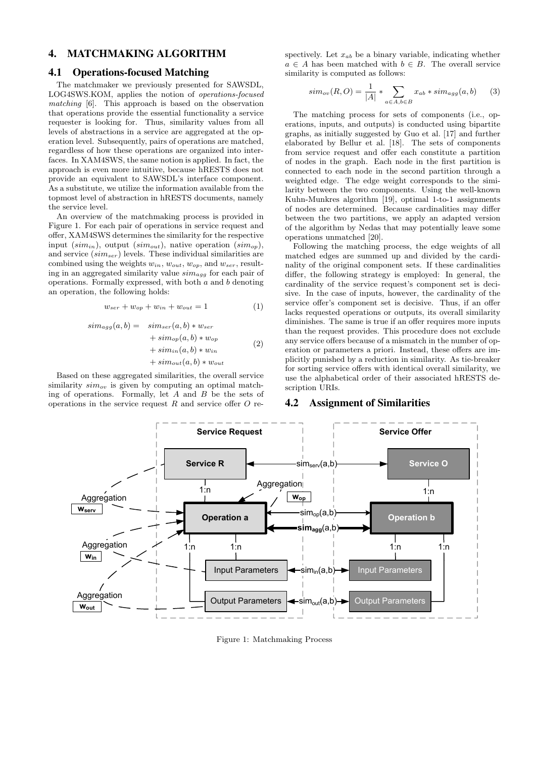## 4. MATCHMAKING ALGORITHM

#### 4.1 Operations-focused Matching

The matchmaker we previously presented for SAWSDL, LOG4SWS.KOM, applies the notion of operations-focused matching [6]. This approach is based on the observation that operations provide the essential functionality a service requester is looking for. Thus, similarity values from all levels of abstractions in a service are aggregated at the operation level. Subsequently, pairs of operations are matched, regardless of how these operations are organized into interfaces. In XAM4SWS, the same notion is applied. In fact, the approach is even more intuitive, because hRESTS does not provide an equivalent to SAWSDL's interface component. As a substitute, we utilize the information available from the topmost level of abstraction in hRESTS documents, namely the service level.

An overview of the matchmaking process is provided in Figure 1. For each pair of operations in service request and offer, XAM4SWS determines the similarity for the respective input  $(sim_{in})$ , output  $(sim_{out})$ , native operation  $(sim_{on})$ , and service  $(sim_{ser})$  levels. These individual similarities are combined using the weights  $w_{in}$ ,  $w_{out}$ ,  $w_{op}$ , and  $w_{ser}$ , resulting in an aggregated similarity value  $sim_{agg}$  for each pair of operations. Formally expressed, with both  $a$  and  $b$  denoting an operation, the following holds:

$$
w_{ser} + w_{op} + w_{in} + w_{out} = 1
$$
 (1)

$$
sim_{agg}(a, b) = sim_{ser}(a, b) * w_{ser}
$$
  
+  $sim_{op}(a, b) * w_{op}$   
+  $sim_{in}(a, b) * w_{in}$   
+  $sim_{out}(a, b) * w_{out}$  (2)

Based on these aggregated similarities, the overall service similarity  $sim_{ov}$  is given by computing an optimal matching of operations. Formally, let  $A$  and  $B$  be the sets of operations in the service request R and service offer  $O$  re-

spectively. Let  $x_{ab}$  be a binary variable, indicating whether  $a \in A$  has been matched with  $b \in B$ . The overall service similarity is computed as follows:

$$
sim_{ov}(R, O) = \frac{1}{|A|} * \sum_{a \in A, b \in B} x_{ab} * sim_{agg}(a, b)
$$
 (3)

The matching process for sets of components (i.e., operations, inputs, and outputs) is conducted using bipartite graphs, as initially suggested by Guo et al. [17] and further elaborated by Bellur et al. [18]. The sets of components from service request and offer each constitute a partition of nodes in the graph. Each node in the first partition is connected to each node in the second partition through a weighted edge. The edge weight corresponds to the similarity between the two components. Using the well-known Kuhn-Munkres algorithm [19], optimal 1-to-1 assignments of nodes are determined. Because cardinalities may differ between the two partitions, we apply an adapted version of the algorithm by Nedas that may potentially leave some operations unmatched [20].

Following the matching process, the edge weights of all matched edges are summed up and divided by the cardinality of the original component sets. If these cardinalities differ, the following strategy is employed: In general, the cardinality of the service request's component set is decisive. In the case of inputs, however, the cardinality of the service offer's component set is decisive. Thus, if an offer lacks requested operations or outputs, its overall similarity diminishes. The same is true if an offer requires more inputs than the request provides. This procedure does not exclude any service offers because of a mismatch in the number of operation or parameters a priori. Instead, these offers are implicitly punished by a reduction in similarity. As tie-breaker for sorting service offers with identical overall similarity, we use the alphabetical order of their associated hRESTS description URIs.

#### 4.2 Assignment of Similarities



Figure 1: Matchmaking Process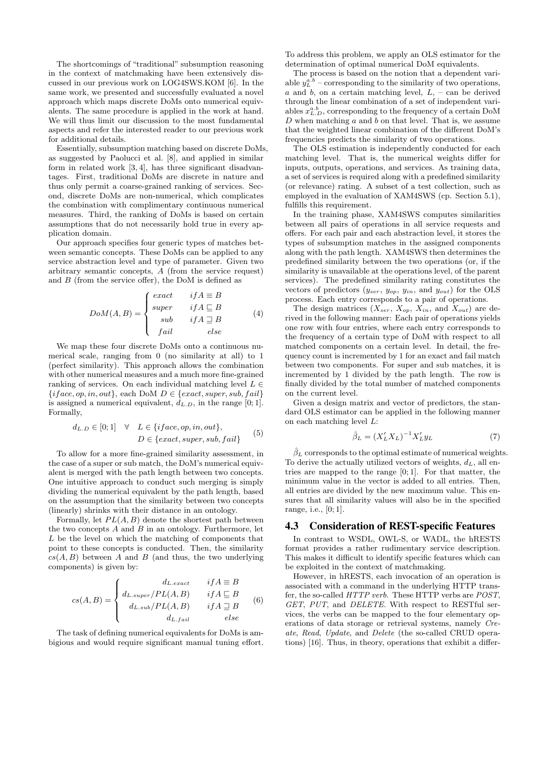The shortcomings of "traditional" subsumption reasoning in the context of matchmaking have been extensively discussed in our previous work on LOG4SWS.KOM [6]. In the same work, we presented and successfully evaluated a novel approach which maps discrete DoMs onto numerical equivalents. The same procedure is applied in the work at hand. We will thus limit our discussion to the most fundamental aspects and refer the interested reader to our previous work for additional details.

Essentially, subsumption matching based on discrete DoMs, as suggested by Paolucci et al. [8], and applied in similar form in related work [3, 4], has three significant disadvantages. First, traditional DoMs are discrete in nature and thus only permit a coarse-grained ranking of services. Second, discrete DoMs are non-numerical, which complicates the combination with complimentary continuous numerical measures. Third, the ranking of DoMs is based on certain assumptions that do not necessarily hold true in every application domain.

Our approach specifies four generic types of matches between semantic concepts. These DoMs can be applied to any service abstraction level and type of parameter. Given two arbitrary semantic concepts, A (from the service request) and  $B$  (from the service offer), the DoM is defined as

$$
DoM(A, B) = \begin{cases} exact & if A \equiv B \\ super & if A \sqsubseteq B \\ sub & if A \sqsupseteq B \\ fail & else \end{cases}
$$
 (4)

We map these four discrete DoMs onto a continuous numerical scale, ranging from 0 (no similarity at all) to 1 (perfect similarity). This approach allows the combination with other numerical measures and a much more fine-grained ranking of services. On each individual matching level  $L \in$  $\{iface, op, in, out\}, each DOM D \in \{exact, super, sub, fail\}$ is assigned a numerical equivalent,  $d_{L,D}$ , in the range [0; 1]. Formally,

$$
d_{L,D} \in [0;1] \quad \forall \quad L \in \{iface, op, in, out\},
$$

$$
D \in \{exact, super, sub, fail\}
$$
 (5)

To allow for a more fine-grained similarity assessment, in the case of a super or sub match, the DoM's numerical equivalent is merged with the path length between two concepts. One intuitive approach to conduct such merging is simply dividing the numerical equivalent by the path length, based on the assumption that the similarity between two concepts (linearly) shrinks with their distance in an ontology.

Formally, let  $PL(A, B)$  denote the shortest path between the two concepts  $A$  and  $B$  in an ontology. Furthermore, let L be the level on which the matching of components that point to these concepts is conducted. Then, the similarity  $cs(A, B)$  between A and B (and thus, the two underlying components) is given by:

$$
cs(A, B) = \begin{cases} d_{L.\text{exact}} & \text{if } A \equiv B \\ d_{L.\text{super}}/PL(A, B) & \text{if } A \subseteq B \\ d_{L.\text{sub}}/PL(A, B) & \text{if } A \supseteq B \\ d_{L.\text{sub}}/PL(A, B) & \text{if } A \supseteq B \end{cases} \tag{6}
$$

The task of defining numerical equivalents for DoMs is ambigious and would require significant manual tuning effort.

To address this problem, we apply an OLS estimator for the determination of optimal numerical DoM equivalents.

The process is based on the notion that a dependent variable  $y_L^{a,b}$  – corresponding to the similarity of two operations,  $a$  and  $b$ , on a certain matching level,  $L$ , – can be derived through the linear combination of a set of independent variables  $x_{L,D}^{a,b}$ , corresponding to the frequency of a certain DoM  $D$  when matching  $a$  and  $b$  on that level. That is, we assume that the weighted linear combination of the different DoM's frequencies predicts the similarity of two operations.

The OLS estimation is independently conducted for each matching level. That is, the numerical weights differ for inputs, outputs, operations, and services. As training data, a set of services is required along with a predefined similarity (or relevance) rating. A subset of a test collection, such as employed in the evaluation of XAM4SWS (cp. Section 5.1), fulfills this requirement.

In the training phase, XAM4SWS computes similarities between all pairs of operations in all service requests and offers. For each pair and each abstraction level, it stores the types of subsumption matches in the assigned components along with the path length. XAM4SWS then determines the predefined similarity between the two operations (or, if the similarity is unavailable at the operations level, of the parent services). The predefined similarity rating constitutes the vectors of predictors  $(y_{ser}, y_{op}, y_{in}, \text{ and } y_{out})$  for the OLS process. Each entry corresponds to a pair of operations.

The design matrices  $(X_{ser}, X_{op}, X_{in}, \text{ and } X_{out})$  are derived in the following manner: Each pair of operations yields one row with four entries, where each entry corresponds to the frequency of a certain type of DoM with respect to all matched components on a certain level. In detail, the frequency count is incremented by 1 for an exact and fail match between two components. For super and sub matches, it is incremented by 1 divided by the path length. The row is finally divided by the total number of matched components on the current level.

Given a design matrix and vector of predictors, the standard OLS estimator can be applied in the following manner on each matching level L:

$$
\hat{\beta}_L = (X_L' X_L)^{-1} X_L' y_L \tag{7}
$$

 $\hat{\beta}_L$  corresponds to the optimal estimate of numerical weights. To derive the actually utilized vectors of weights,  $d_L$ , all entries are mapped to the range [0; 1]. For that matter, the minimum value in the vector is added to all entries. Then, all entries are divided by the new maximum value. This ensures that all similarity values will also be in the specified range, i.e., [0; 1].

#### 4.3 Consideration of REST-specific Features

In contrast to WSDL, OWL-S, or WADL, the hRESTS format provides a rather rudimentary service description. This makes it difficult to identify specific features which can be exploited in the context of matchmaking.

However, in hRESTS, each invocation of an operation is associated with a command in the underlying HTTP transfer, the so-called HTTP verb. These HTTP verbs are POST, GET, PUT, and DELETE. With respect to RESTful services, the verbs can be mapped to the four elementary operations of data storage or retrieval systems, namely Create, Read, Update, and Delete (the so-called CRUD operations) [16]. Thus, in theory, operations that exhibit a differ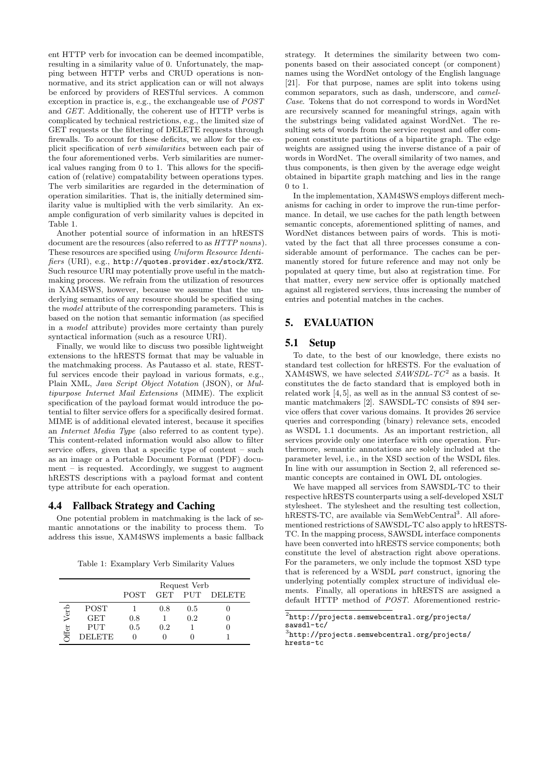ent HTTP verb for invocation can be deemed incompatible, resulting in a similarity value of 0. Unfortunately, the mapping between HTTP verbs and CRUD operations is nonnormative, and its strict application can or will not always be enforced by providers of RESTful services. A common exception in practice is, e.g., the exchangeable use of POST and GET. Additionally, the coherent use of HTTP verbs is complicated by technical restrictions, e.g., the limited size of GET requests or the filtering of DELETE requests through firewalls. To account for these deficits, we allow for the explicit specification of verb similarities between each pair of the four aforementioned verbs. Verb similarities are numerical values ranging from 0 to 1. This allows for the specification of (relative) compatability between operations types. The verb similarities are regarded in the determination of operation similarities. That is, the initially determined similarity value is multiplied with the verb similarity. An example configuration of verb similarity values is depcited in Table 1.

Another potential source of information in an hRESTS document are the resources (also referred to as HTTP nouns). These resources are specified using Uniform Resource Identifiers (URI), e.g., http://quotes.provider.ex/stock/XYZ. Such resource URI may potentially prove useful in the matchmaking process. We refrain from the utilization of resources in XAM4SWS, however, because we assume that the underlying semantics of any resource should be specified using the model attribute of the corresponding parameters. This is based on the notion that semantic information (as specified in a model attribute) provides more certainty than purely syntactical information (such as a resource URI).

Finally, we would like to discuss two possible lightweight extensions to the hRESTS format that may be valuable in the matchmaking process. As Pautasso et al. state, RESTful services encode their payload in various formats, e.g., Plain XML, Java Script Object Notation (JSON), or Multipurpose Internet Mail Extensions (MIME). The explicit specification of the payload format would introduce the potential to filter service offers for a specifically desired format. MIME is of additional elevated interest, because it specifies an Internet Media Type (also referred to as content type). This content-related information would also allow to filter service offers, given that a specific type of content – such as an image or a Portable Document Format (PDF) document – is requested. Accordingly, we suggest to augment hRESTS descriptions with a payload format and content type attribute for each operation.

#### 4.4 Fallback Strategy and Caching

One potential problem in matchmaking is the lack of semantic annotations or the inability to process them. To address this issue, XAM4SWS implements a basic fallback

Table 1: Examplary Verb Similarity Values

|              |               | Request Verb |     |     |                     |  |  |  |  |
|--------------|---------------|--------------|-----|-----|---------------------|--|--|--|--|
|              |               |              |     |     | POST GET PUT DELETE |  |  |  |  |
| Verk         | <b>POST</b>   |              | 0.8 | 0.5 |                     |  |  |  |  |
|              | <b>GET</b>    | 0.8          |     | 0.2 |                     |  |  |  |  |
|              | <b>PUT</b>    | 0.5          | 0.2 |     |                     |  |  |  |  |
| <b>Offer</b> | <b>DELETE</b> |              |     |     |                     |  |  |  |  |

strategy. It determines the similarity between two components based on their associated concept (or component) names using the WordNet ontology of the English language [21]. For that purpose, names are split into tokens using common separators, such as dash, underscore, and camel-Case. Tokens that do not correspond to words in WordNet are recursively scanned for meaningful strings, again with the substrings being validated against WordNet. The resulting sets of words from the service request and offer component constitute partitions of a bipartite graph. The edge weights are assigned using the inverse distance of a pair of words in WordNet. The overall similarity of two names, and thus components, is then given by the average edge weight obtained in bipartite graph matching and lies in the range 0 to 1.

In the implementation, XAM4SWS employs different mechanisms for caching in order to improve the run-time performance. In detail, we use caches for the path length between semantic concepts, aforementioned splitting of names, and WordNet distances between pairs of words. This is motivated by the fact that all three processes consume a considerable amount of performance. The caches can be permanently stored for future reference and may not only be populated at query time, but also at registration time. For that matter, every new service offer is optionally matched against all registered services, thus increasing the number of entries and potential matches in the caches.

### 5. EVALUATION

#### 5.1 Setup

To date, to the best of our knowledge, there exists no standard test collection for hRESTS. For the evaluation of XAM4SWS, we have selected  $SAWSDL-TC^2$  as a basis. It constitutes the de facto standard that is employed both in related work [4, 5], as well as in the annual S3 contest of semantic matchmakers [2]. SAWSDL-TC consists of 894 service offers that cover various domains. It provides 26 service queries and corresponding (binary) relevance sets, encoded as WSDL 1.1 documents. As an important restriction, all services provide only one interface with one operation. Furthermore, semantic annotations are solely included at the parameter level, i.e., in the XSD section of the WSDL files. In line with our assumption in Section 2, all referenced semantic concepts are contained in OWL DL ontologies.

We have mapped all services from SAWSDL-TC to their respective hRESTS counterparts using a self-developed XSLT stylesheet. The stylesheet and the resulting test collection, hRESTS-TC, are available via SemWebCentral<sup>3</sup>. All aforementioned restrictions of SAWSDL-TC also apply to hRESTS-TC. In the mapping process, SAWSDL interface components have been converted into hRESTS service components; both constitute the level of abstraction right above operations. For the parameters, we only include the topmost XSD type that is referenced by a WSDL part construct, ignoring the underlying potentially complex structure of individual elements. Finally, all operations in hRESTS are assigned a default HTTP method of POST. Aforementioned restric-

 $2$ http://projects.semwebcentral.org/projects/ sawsdl-tc/

<sup>3</sup> http://projects.semwebcentral.org/projects/ hrests-tc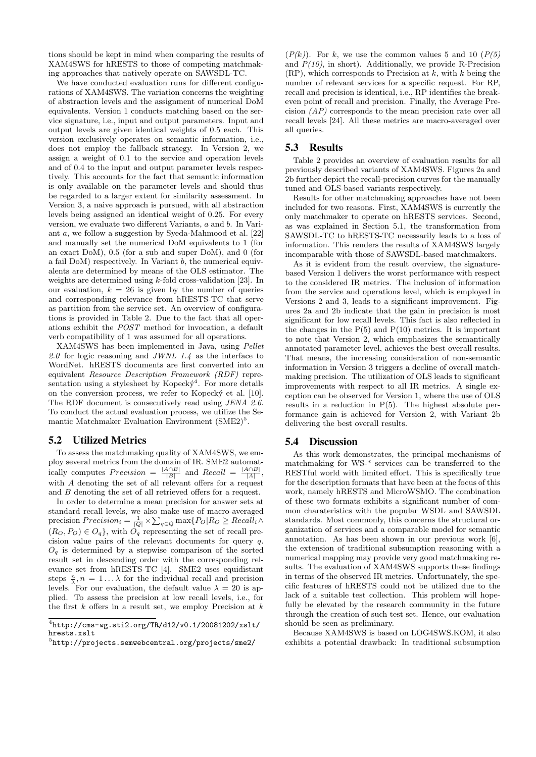tions should be kept in mind when comparing the results of XAM4SWS for hRESTS to those of competing matchmaking approaches that natively operate on SAWSDL-TC.

We have conducted evaluation runs for different configurations of XAM4SWS. The variation concerns the weighting of abstraction levels and the assignment of numerical DoM equivalents. Version 1 conducts matching based on the service signature, i.e., input and output parameters. Input and output levels are given identical weights of 0.5 each. This version exclusively operates on semantic information, i.e., does not employ the fallback strategy. In Version 2, we assign a weight of 0.1 to the service and operation levels and of 0.4 to the input and output parameter levels respectively. This accounts for the fact that semantic information is only available on the parameter levels and should thus be regarded to a larger extent for similarity assessment. In Version 3, a naive approach is pursued, with all abstraction levels being assigned an identical weight of 0.25. For every version, we evaluate two different Variants, a and b. In Variant a, we follow a suggestion by Syeda-Mahmood et al. [22] and manually set the numerical DoM equivalents to 1 (for an exact DoM), 0.5 (for a sub and super DoM), and 0 (for a fail DoM) respectively. In Variant b, the numerical equivalents are determined by means of the OLS estimator. The weights are determined using k-fold cross-validation [23]. In our evaluation,  $k = 26$  is given by the number of queries and corresponding relevance from hRESTS-TC that serve as partition from the service set. An overview of configurations is provided in Table 2. Due to the fact that all operations exhibit the POST method for invocation, a default verb compatibility of 1 was assumed for all operations.

XAM4SWS has been implemented in Java, using Pellet 2.0 for logic reasoning and JWNL 1.4 as the interface to WordNet. hRESTS documents are first converted into an equivalent Resource Description Framework (RDF) representation using a stylesheet by Kopeck $\acute{y}^4$ . For more details on the conversion process, we refer to Kopeck $\acute{\mathbf{y}}$  et al. [10]. The RDF document is consecutively read using *JENA 2.6*. To conduct the actual evaluation process, we utilize the Semantic Matchmaker Evaluation Environment (SME2)<sup>5</sup>.

## 5.2 Utilized Metrics

To assess the matchmaking quality of XAM4SWS, we employ several metrics from the domain of IR. SME2 automatically computes  $Precision = \frac{|A \cap B|}{|B|}$  and  $Recall = \frac{|A \cap B|}{|A|}$ , with A denoting the set of all relevant offers for a request and B denoting the set of all retrieved offers for a request.

In order to determine a mean precision for answer sets at standard recall levels, we also make use of macro-averaged precision  $Precision_i = \frac{1}{|Q|} \times \sum_{q \in Q} \max\{P_O | R_O \geq Recall_i \wedge$  $(R_O, P_O) \in O_q$ , with  $O_q$  representing the set of recall precision value pairs of the relevant documents for query q.  $O_q$  is determined by a stepwise comparison of the sorted result set in descending order with the corresponding relevance set from hRESTS-TC [4]. SME2 uses equidistant steps  $\frac{n}{\lambda}$ ,  $n = 1... \lambda$  for the individual recall and precision levels. For our evaluation, the default value  $\lambda = 20$  is applied. To assess the precision at low recall levels, i.e., for the first  $k$  offers in a result set, we employ Precision at  $k$ 

 $(P(k))$ . For k, we use the common values 5 and 10  $(P(5))$ and  $P(10)$ , in short). Additionally, we provide R-Precision  $(RP)$ , which corresponds to Precision at k, with k being the number of relevant services for a specific request. For RP, recall and precision is identical, i.e., RP identifies the breakeven point of recall and precision. Finally, the Average Precision (AP) corresponds to the mean precision rate over all recall levels [24]. All these metrics are macro-averaged over all queries.

#### 5.3 Results

Table 2 provides an overview of evaluation results for all previously described variants of XAM4SWS. Figures 2a and 2b further depict the recall-precision curves for the manually tuned and OLS-based variants respectively.

Results for other matchmaking approaches have not been included for two reasons. First, XAM4SWS is currently the only matchmaker to operate on hRESTS services. Second, as was explained in Section 5.1, the transformation from SAWSDL-TC to hRESTS-TC necessarily leads to a loss of information. This renders the results of XAM4SWS largely incomparable with those of SAWSDL-based matchmakers.

As it is evident from the result overview, the signaturebased Version 1 delivers the worst performance with respect to the considered IR metrics. The inclusion of information from the service and operations level, which is employed in Versions 2 and 3, leads to a significant improvement. Figures 2a and 2b indicate that the gain in precision is most significant for low recall levels. This fact is also reflected in the changes in the  $P(5)$  and  $P(10)$  metrics. It is important to note that Version 2, which emphasizes the semantically annotated parameter level, achieves the best overall results. That means, the increasing consideration of non-semantic information in Version 3 triggers a decline of overall matchmaking precision. The utilization of OLS leads to significant improvements with respect to all IR metrics. A single exception can be observed for Version 1, where the use of OLS results in a reduction in  $P(5)$ . The highest absolute performance gain is achieved for Version 2, with Variant 2b delivering the best overall results.

#### 5.4 Discussion

As this work demonstrates, the principal mechanisms of matchmaking for WS-\* services can be transferred to the RESTful world with limited effort. This is specifically true for the description formats that have been at the focus of this work, namely hRESTS and MicroWSMO. The combination of these two formats exhibits a significant number of common charateristics with the popular WSDL and SAWSDL standards. Most commonly, this concerns the structural organization of services and a comparable model for semantic annotation. As has been shown in our previous work [6], the extension of traditional subsumption reasoning with a numerical mapping may provide very good matchmaking results. The evaluation of XAM4SWS supports these findings in terms of the observed IR metrics. Unfortunately, the specific features of hRESTS could not be utilized due to the lack of a suitable test collection. This problem will hopefully be elevated by the research community in the future through the creation of such test set. Hence, our evaluation should be seen as preliminary.

Because XAM4SWS is based on LOG4SWS.KOM, it also exhibits a potential drawback: In traditional subsumption

 $^4$ http://cms-wg.sti2.org/TR/d12/v0.1/20081202/xslt/ hrests.xslt

 $^{5}$ http://projects.semwebcentral.org/projects/sme2/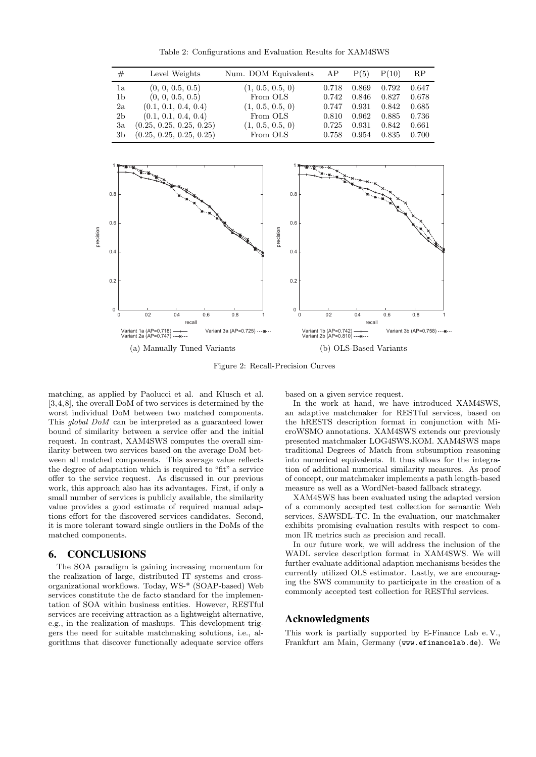Table 2: Configurations and Evaluation Results for XAM4SWS

| $_{\#}$        | Level Weights            | Num. DOM Equivalents | AP    | P(5)  | P(10) | RP    |
|----------------|--------------------------|----------------------|-------|-------|-------|-------|
| 1a             | (0, 0, 0.5, 0.5)         | (1, 0.5, 0.5, 0)     | 0.718 | 0.869 | 0.792 | 0.647 |
| 1b             | (0, 0, 0.5, 0.5)         | From OLS             | 0.742 | 0.846 | 0.827 | 0.678 |
| 2a             | (0.1, 0.1, 0.4, 0.4)     | (1, 0.5, 0.5, 0)     | 0.747 | 0.931 | 0.842 | 0.685 |
| 2 <sub>b</sub> | (0.1, 0.1, 0.4, 0.4)     | From OLS             | 0.810 | 0.962 | 0.885 | 0.736 |
| 3a             | (0.25, 0.25, 0.25, 0.25) | (1, 0.5, 0.5, 0)     | 0.725 | 0.931 | 0.842 | 0.661 |
| 3 <sub>b</sub> | (0.25, 0.25, 0.25, 0.25) | From OLS             | 0.758 | 0.954 | 0.835 | 0.700 |



Figure 2: Recall-Precision Curves

matching, as applied by Paolucci et al. and Klusch et al. [3,4,8], the overall DoM of two services is determined by the worst individual DoM between two matched components. This global DoM can be interpreted as a guaranteed lower bound of similarity between a service offer and the initial request. In contrast, XAM4SWS computes the overall similarity between two services based on the average DoM between all matched components. This average value reflects the degree of adaptation which is required to "fit" a service offer to the service request. As discussed in our previous work, this approach also has its advantages. First, if only a small number of services is publicly available, the similarity value provides a good estimate of required manual adaptions effort for the discovered services candidates. Second, it is more tolerant toward single outliers in the DoMs of the matched components.

#### 6. CONCLUSIONS

The SOA paradigm is gaining increasing momentum for the realization of large, distributed IT systems and crossorganizational workflows. Today, WS-\* (SOAP-based) Web services constitute the de facto standard for the implementation of SOA within business entities. However, RESTful services are receiving attraction as a lightweight alternative, e.g., in the realization of mashups. This development triggers the need for suitable matchmaking solutions, i.e., algorithms that discover functionally adequate service offers based on a given service request.

In the work at hand, we have introduced XAM4SWS, an adaptive matchmaker for RESTful services, based on the hRESTS description format in conjunction with MicroWSMO annotations. XAM4SWS extends our previously presented matchmaker LOG4SWS.KOM. XAM4SWS maps traditional Degrees of Match from subsumption reasoning into numerical equivalents. It thus allows for the integration of additional numerical similarity measures. As proof of concept, our matchmaker implements a path length-based measure as well as a WordNet-based fallback strategy.

XAM4SWS has been evaluated using the adapted version of a commonly accepted test collection for semantic Web services, SAWSDL-TC. In the evaluation, our matchmaker exhibits promising evaluation results with respect to common IR metrics such as precision and recall.

In our future work, we will address the inclusion of the WADL service description format in XAM4SWS. We will further evaluate additional adaption mechanisms besides the currently utilized OLS estimator. Lastly, we are encouraging the SWS community to participate in the creation of a commonly accepted test collection for RESTful services.

#### Acknowledgments

This work is partially supported by E-Finance Lab e. V., Frankfurt am Main, Germany (www.efinancelab.de). We